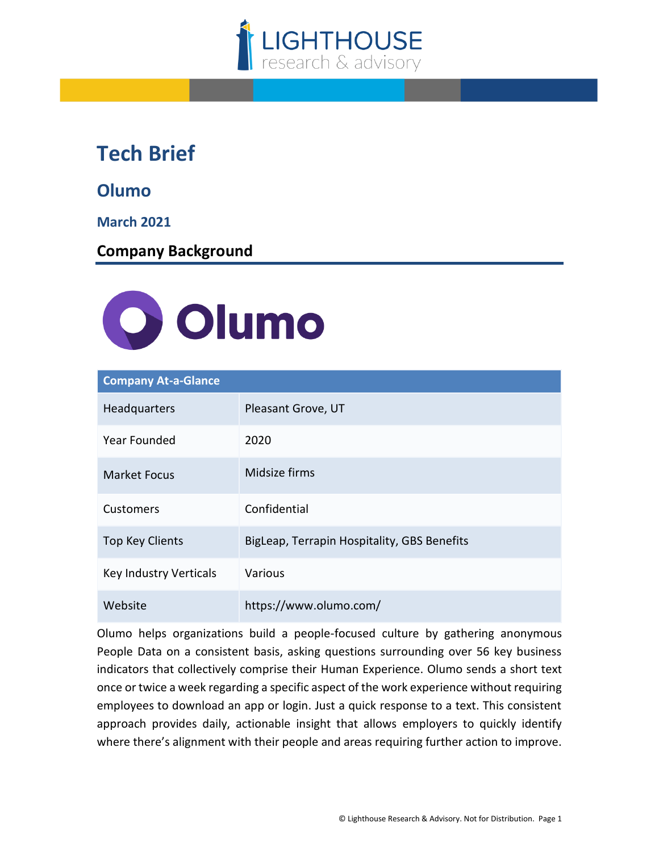

## **Tech Brief**

**Olumo**

**March 2021**

**Company Background**



| <b>Company At-a-Glance</b> |                                             |
|----------------------------|---------------------------------------------|
| Headquarters               | Pleasant Grove, UT                          |
| <b>Year Founded</b>        | 2020                                        |
| <b>Market Focus</b>        | Midsize firms                               |
| Customers                  | Confidential                                |
| <b>Top Key Clients</b>     | BigLeap, Terrapin Hospitality, GBS Benefits |
| Key Industry Verticals     | Various                                     |
| Website                    | https://www.olumo.com/                      |

Olumo helps organizations build a people-focused culture by gathering anonymous People Data on a consistent basis, asking questions surrounding over 56 key business indicators that collectively comprise their Human Experience. Olumo sends a short text once or twice a week regarding a specific aspect of the work experience without requiring employees to download an app or login. Just a quick response to a text. This consistent approach provides daily, actionable insight that allows employers to quickly identify where there's alignment with their people and areas requiring further action to improve.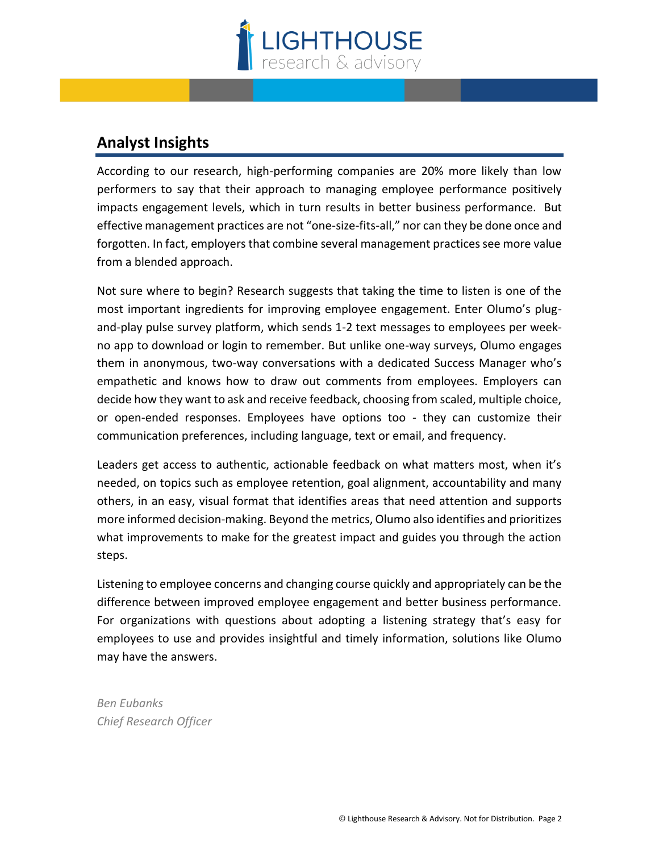

## **Analyst Insights**

According to our research, high-performing companies are 20% more likely than low performers to say that their approach to managing employee performance positively impacts engagement levels, which in turn results in better business performance. But effective management practices are not "one-size-fits-all," nor can they be done once and forgotten. In fact, employers that combine several management practices see more value from a blended approach.

Not sure where to begin? Research suggests that taking the time to listen is one of the most important ingredients for improving employee engagement. Enter Olumo's plugand-play pulse survey platform, which sends 1-2 text messages to employees per weekno app to download or login to remember. But unlike one-way surveys, Olumo engages them in anonymous, two-way conversations with a dedicated Success Manager who's empathetic and knows how to draw out comments from employees. Employers can decide how they want to ask and receive feedback, choosing from scaled, multiple choice, or open-ended responses. Employees have options too - they can customize their communication preferences, including language, text or email, and frequency.

Leaders get access to authentic, actionable feedback on what matters most, when it's needed, on topics such as employee retention, goal alignment, accountability and many others, in an easy, visual format that identifies areas that need attention and supports more informed decision-making. Beyond the metrics, Olumo also identifies and prioritizes what improvements to make for the greatest impact and guides you through the action steps.

Listening to employee concerns and changing course quickly and appropriately can be the difference between improved employee engagement and better business performance. For organizations with questions about adopting a listening strategy that's easy for employees to use and provides insightful and timely information, solutions like Olumo may have the answers.

*Ben Eubanks Chief Research Officer*